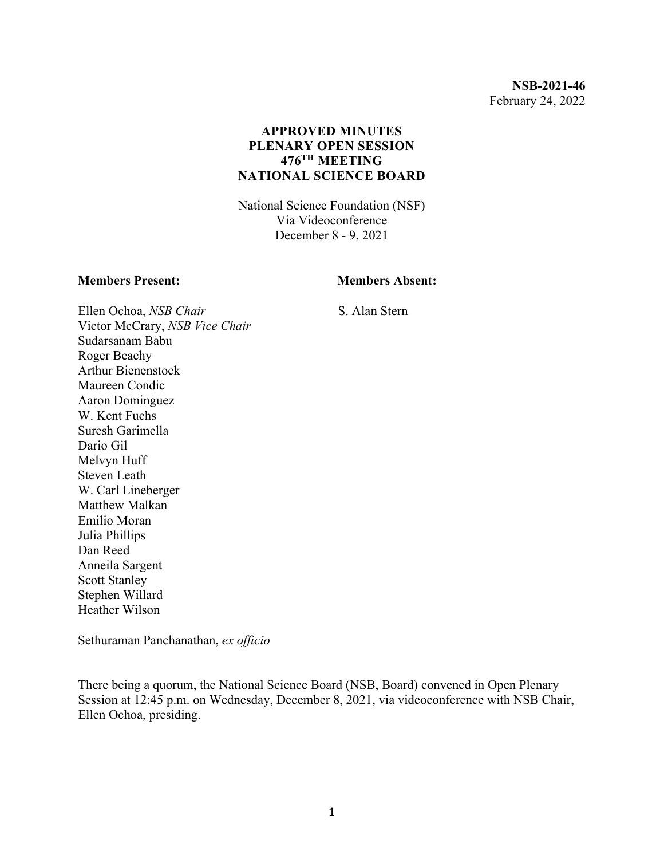**NSB-2021-46** February 24, 2022

### **APPROVED MINUTES PLENARY OPEN SESSION 476TH MEETING NATIONAL SCIENCE BOARD**

National Science Foundation (NSF) Via Videoconference December 8 - 9, 2021

#### **Members Present: Members Absent:**

S. Alan Stern

Ellen Ochoa, *NSB Chair* Victor McCrary, *NSB Vice Chair* Sudarsanam Babu Roger Beachy Arthur Bienenstock Maureen Condic Aaron Dominguez W. Kent Fuchs Suresh Garimella Dario Gil Melvyn Huff Steven Leath W. Carl Lineberger Matthew Malkan Emilio Moran Julia Phillips Dan Reed Anneila Sargent Scott Stanley Stephen Willard Heather Wilson

Sethuraman Panchanathan, *ex officio*

There being a quorum, the National Science Board (NSB, Board) convened in Open Plenary Session at 12:45 p.m. on Wednesday, December 8, 2021, via videoconference with NSB Chair, Ellen Ochoa, presiding.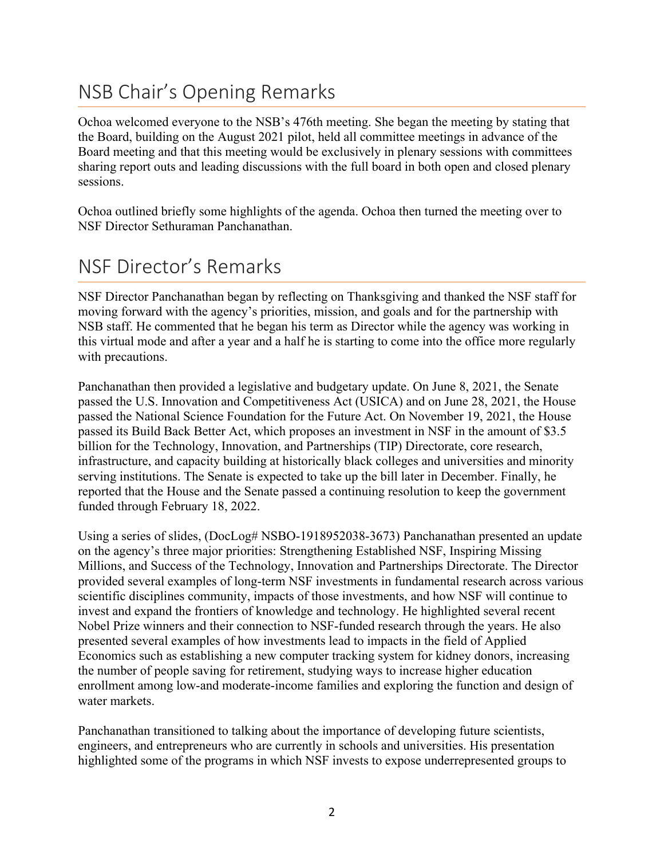## NSB Chair's Opening Remarks

Ochoa welcomed everyone to the NSB's 476th meeting. She began the meeting by stating that the Board, building on the August 2021 pilot, held all committee meetings in advance of the Board meeting and that this meeting would be exclusively in plenary sessions with committees sharing report outs and leading discussions with the full board in both open and closed plenary sessions.

Ochoa outlined briefly some highlights of the agenda. Ochoa then turned the meeting over to NSF Director Sethuraman Panchanathan.

## NSF Director's Remarks

NSF Director Panchanathan began by reflecting on Thanksgiving and thanked the NSF staff for moving forward with the agency's priorities, mission, and goals and for the partnership with NSB staff. He commented that he began his term as Director while the agency was working in this virtual mode and after a year and a half he is starting to come into the office more regularly with precautions.

Panchanathan then provided a legislative and budgetary update. On June 8, 2021, the Senate passed the U.S. Innovation and Competitiveness Act (USICA) and on June 28, 2021, the House passed the National Science Foundation for the Future Act. On November 19, 2021, the House passed its Build Back Better Act, which proposes an investment in NSF in the amount of \$3.5 billion for the Technology, Innovation, and Partnerships (TIP) Directorate, core research, infrastructure, and capacity building at historically black colleges and universities and minority serving institutions. The Senate is expected to take up the bill later in December. Finally, he reported that the House and the Senate passed a continuing resolution to keep the government funded through February 18, 2022.

Using a series of slides, (DocLog# NSBO-1918952038-3673) Panchanathan presented an update on the agency's three major priorities: Strengthening Established NSF, Inspiring Missing Millions, and Success of the Technology, Innovation and Partnerships Directorate. The Director provided several examples of long-term NSF investments in fundamental research across various scientific disciplines community, impacts of those investments, and how NSF will continue to invest and expand the frontiers of knowledge and technology. He highlighted several recent Nobel Prize winners and their connection to NSF-funded research through the years. He also presented several examples of how investments lead to impacts in the field of Applied Economics such as establishing a new computer tracking system for kidney donors, increasing the number of people saving for retirement, studying ways to increase higher education enrollment among low-and moderate-income families and exploring the function and design of water markets.

Panchanathan transitioned to talking about the importance of developing future scientists, engineers, and entrepreneurs who are currently in schools and universities. His presentation highlighted some of the programs in which NSF invests to expose underrepresented groups to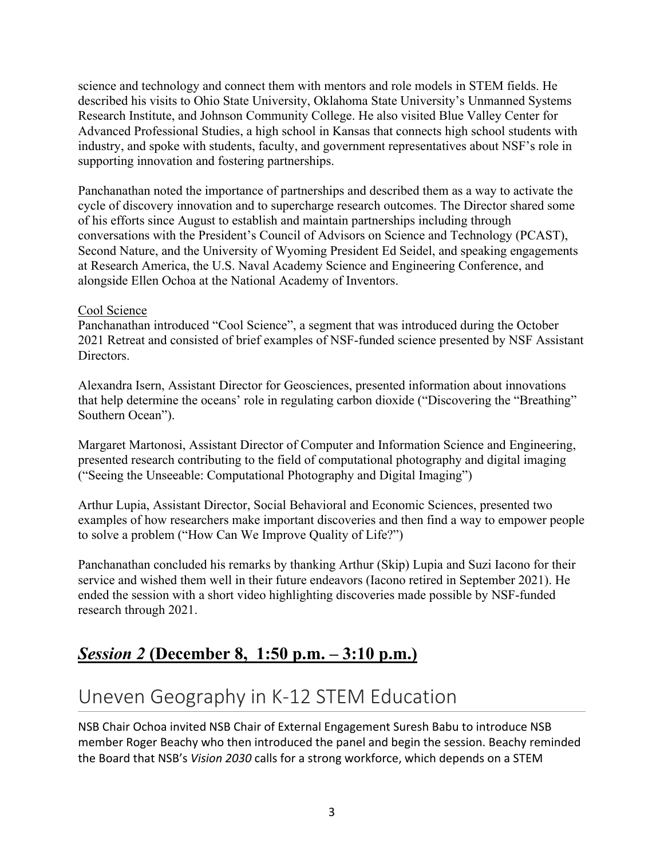science and technology and connect them with mentors and role models in STEM fields. He described his visits to Ohio State University, Oklahoma State University's Unmanned Systems Research Institute, and Johnson Community College. He also visited Blue Valley Center for Advanced Professional Studies, a high school in Kansas that connects high school students with industry, and spoke with students, faculty, and government representatives about NSF's role in supporting innovation and fostering partnerships.

Panchanathan noted the importance of partnerships and described them as a way to activate the cycle of discovery innovation and to supercharge research outcomes. The Director shared some of his efforts since August to establish and maintain partnerships including through conversations with the President's Council of Advisors on Science and Technology (PCAST), Second Nature, and the University of Wyoming President Ed Seidel, and speaking engagements at Research America, the U.S. Naval Academy Science and Engineering Conference, and alongside Ellen Ochoa at the National Academy of Inventors.

### Cool Science

Panchanathan introduced "Cool Science", a segment that was introduced during the October 2021 Retreat and consisted of brief examples of NSF-funded science presented by NSF Assistant Directors.

Alexandra Isern, Assistant Director for Geosciences, presented information about innovations that help determine the oceans' role in regulating carbon dioxide ("Discovering the "Breathing" Southern Ocean").

Margaret Martonosi, Assistant Director of Computer and Information Science and Engineering, presented research contributing to the field of computational photography and digital imaging ("Seeing the Unseeable: Computational Photography and Digital Imaging")

Arthur Lupia, Assistant Director, Social Behavioral and Economic Sciences, presented two examples of how researchers make important discoveries and then find a way to empower people to solve a problem ("How Can We Improve Quality of Life?")

Panchanathan concluded his remarks by thanking Arthur (Skip) Lupia and Suzi Iacono for their service and wished them well in their future endeavors (Iacono retired in September 2021). He ended the session with a short video highlighting discoveries made possible by NSF-funded research through 2021.

### *Session 2* **(December 8, 1:50 p.m. – 3:10 p.m.)**

## Uneven Geography in K-12 STEM Education

NSB Chair Ochoa invited NSB Chair of External Engagement Suresh Babu to introduce NSB member Roger Beachy who then introduced the panel and begin the session. Beachy reminded the Board that NSB's *Vision 2030* calls for a strong workforce, which depends on a STEM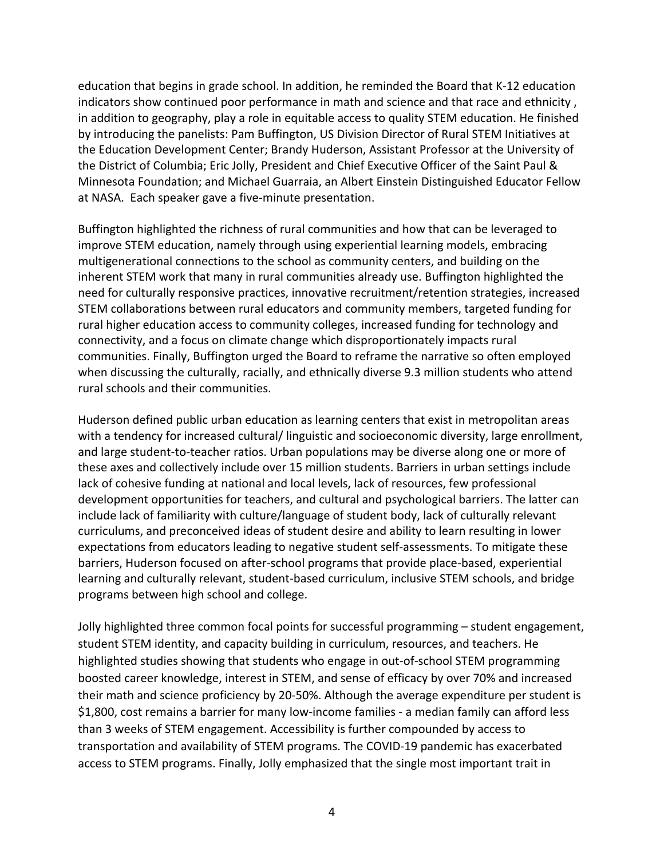education that begins in grade school. In addition, he reminded the Board that K-12 education indicators show continued poor performance in math and science and that race and ethnicity , in addition to geography, play a role in equitable access to quality STEM education. He finished by introducing the panelists: Pam Buffington, US Division Director of Rural STEM Initiatives at the Education Development Center; Brandy Huderson, Assistant Professor at the University of the District of Columbia; Eric Jolly, President and Chief Executive Officer of the Saint Paul & Minnesota Foundation; and Michael Guarraia, an Albert Einstein Distinguished Educator Fellow at NASA. Each speaker gave a five-minute presentation.

Buffington highlighted the richness of rural communities and how that can be leveraged to improve STEM education, namely through using experiential learning models, embracing multigenerational connections to the school as community centers, and building on the inherent STEM work that many in rural communities already use. Buffington highlighted the need for culturally responsive practices, innovative recruitment/retention strategies, increased STEM collaborations between rural educators and community members, targeted funding for rural higher education access to community colleges, increased funding for technology and connectivity, and a focus on climate change which disproportionately impacts rural communities. Finally, Buffington urged the Board to reframe the narrative so often employed when discussing the culturally, racially, and ethnically diverse 9.3 million students who attend rural schools and their communities.

Huderson defined public urban education as learning centers that exist in metropolitan areas with a tendency for increased cultural/ linguistic and socioeconomic diversity, large enrollment, and large student-to-teacher ratios. Urban populations may be diverse along one or more of these axes and collectively include over 15 million students. Barriers in urban settings include lack of cohesive funding at national and local levels, lack of resources, few professional development opportunities for teachers, and cultural and psychological barriers. The latter can include lack of familiarity with culture/language of student body, lack of culturally relevant curriculums, and preconceived ideas of student desire and ability to learn resulting in lower expectations from educators leading to negative student self-assessments. To mitigate these barriers, Huderson focused on after-school programs that provide place-based, experiential learning and culturally relevant, student-based curriculum, inclusive STEM schools, and bridge programs between high school and college.

Jolly highlighted three common focal points for successful programming – student engagement, student STEM identity, and capacity building in curriculum, resources, and teachers. He highlighted studies showing that students who engage in out-of-school STEM programming boosted career knowledge, interest in STEM, and sense of efficacy by over 70% and increased their math and science proficiency by 20-50%. Although the average expenditure per student is \$1,800, cost remains a barrier for many low-income families - a median family can afford less than 3 weeks of STEM engagement. Accessibility is further compounded by access to transportation and availability of STEM programs. The COVID-19 pandemic has exacerbated access to STEM programs. Finally, Jolly emphasized that the single most important trait in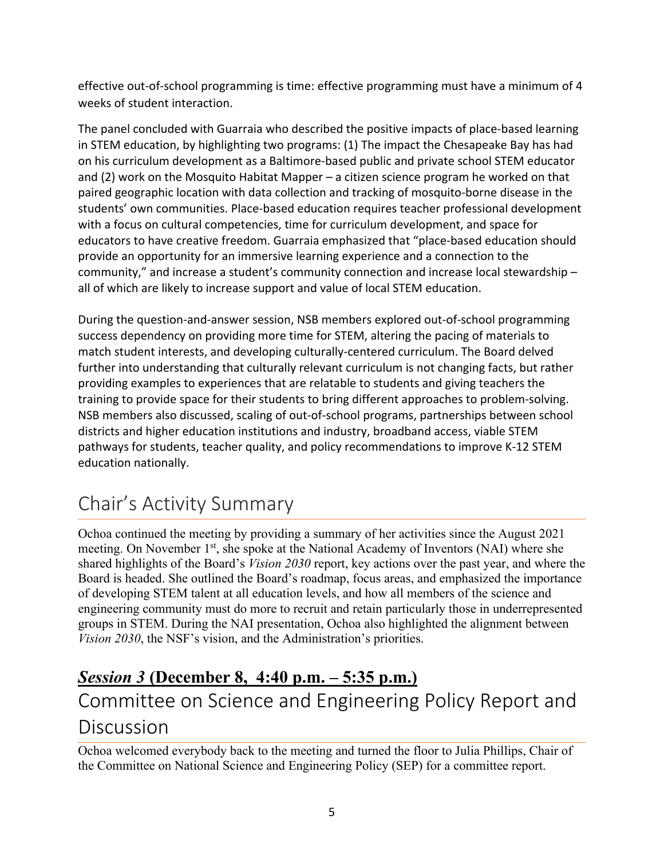effective out-of-school programming is time: effective programming must have a minimum of 4 weeks of student interaction.

The panel concluded with Guarraia who described the positive impacts of place-based learning in STEM education, by highlighting two programs: (1) The impact the Chesapeake Bay has had on his curriculum development as a Baltimore-based public and private school STEM educator and (2) work on the Mosquito Habitat Mapper – a citizen science program he worked on that paired geographic location with data collection and tracking of mosquito-borne disease in the students' own communities. Place-based education requires teacher professional development with a focus on cultural competencies, time for curriculum development, and space for educators to have creative freedom. Guarraia emphasized that "place-based education should provide an opportunity for an immersive learning experience and a connection to the community," and increase a student's community connection and increase local stewardship – all of which are likely to increase support and value of local STEM education.

During the question-and-answer session, NSB members explored out-of-school programming success dependency on providing more time for STEM, altering the pacing of materials to match student interests, and developing culturally-centered curriculum. The Board delved further into understanding that culturally relevant curriculum is not changing facts, but rather providing examples to experiences that are relatable to students and giving teachers the training to provide space for their students to bring different approaches to problem-solving. NSB members also discussed, scaling of out-of-school programs, partnerships between school districts and higher education institutions and industry, broadband access, viable STEM pathways for students, teacher quality, and policy recommendations to improve K-12 STEM education nationally.

## Chair's Activity Summary

Ochoa continued the meeting by providing a summary of her activities since the August 2021 meeting. On November 1<sup>st</sup>, she spoke at the National Academy of Inventors (NAI) where she shared highlights of the Board's *Vision 2030* report, key actions over the past year, and where the Board is headed. She outlined the Board's roadmap, focus areas, and emphasized the importance of developing STEM talent at all education levels, and how all members of the science and engineering community must do more to recruit and retain particularly those in underrepresented groups in STEM. During the NAI presentation, Ochoa also highlighted the alignment between *Vision 2030*, the NSF's vision, and the Administration's priorities.

## *Session 3* **(December 8, 4:40 p.m. – 5:35 p.m.)** Committee on Science and Engineering Policy Report and Discussion

Ochoa welcomed everybody back to the meeting and turned the floor to Julia Phillips, Chair of the Committee on National Science and Engineering Policy (SEP) for a committee report.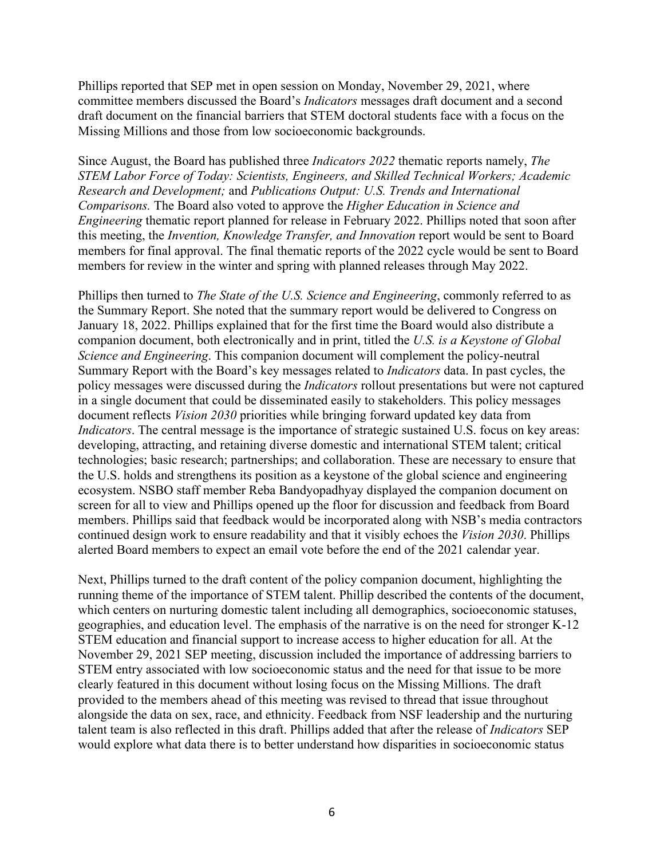Phillips reported that SEP met in open session on Monday, November 29, 2021, where committee members discussed the Board's *Indicators* messages draft document and a second draft document on the financial barriers that STEM doctoral students face with a focus on the Missing Millions and those from low socioeconomic backgrounds.

Since August, the Board has published three *Indicators 2022* thematic reports namely, *The STEM Labor Force of Today: Scientists, Engineers, and Skilled Technical Workers; Academic Research and Development;* and *Publications Output: U.S. Trends and International Comparisons.* The Board also voted to approve the *Higher Education in Science and Engineering* thematic report planned for release in February 2022. Phillips noted that soon after this meeting, the *Invention, Knowledge Transfer, and Innovation* report would be sent to Board members for final approval. The final thematic reports of the 2022 cycle would be sent to Board members for review in the winter and spring with planned releases through May 2022.

Phillips then turned to *The State of the U.S. Science and Engineering*, commonly referred to as the Summary Report. She noted that the summary report would be delivered to Congress on January 18, 2022. Phillips explained that for the first time the Board would also distribute a companion document, both electronically and in print, titled the *U.S. is a Keystone of Global Science and Engineering*. This companion document will complement the policy-neutral Summary Report with the Board's key messages related to *Indicators* data. In past cycles, the policy messages were discussed during the *Indicators* rollout presentations but were not captured in a single document that could be disseminated easily to stakeholders. This policy messages document reflects *Vision 2030* priorities while bringing forward updated key data from *Indicators*. The central message is the importance of strategic sustained U.S. focus on key areas: developing, attracting, and retaining diverse domestic and international STEM talent; critical technologies; basic research; partnerships; and collaboration. These are necessary to ensure that the U.S. holds and strengthens its position as a keystone of the global science and engineering ecosystem. NSBO staff member Reba Bandyopadhyay displayed the companion document on screen for all to view and Phillips opened up the floor for discussion and feedback from Board members. Phillips said that feedback would be incorporated along with NSB's media contractors continued design work to ensure readability and that it visibly echoes the *Vision 2030*. Phillips alerted Board members to expect an email vote before the end of the 2021 calendar year.

Next, Phillips turned to the draft content of the policy companion document, highlighting the running theme of the importance of STEM talent. Phillip described the contents of the document, which centers on nurturing domestic talent including all demographics, socioeconomic statuses, geographies, and education level. The emphasis of the narrative is on the need for stronger K-12 STEM education and financial support to increase access to higher education for all. At the November 29, 2021 SEP meeting, discussion included the importance of addressing barriers to STEM entry associated with low socioeconomic status and the need for that issue to be more clearly featured in this document without losing focus on the Missing Millions. The draft provided to the members ahead of this meeting was revised to thread that issue throughout alongside the data on sex, race, and ethnicity. Feedback from NSF leadership and the nurturing talent team is also reflected in this draft. Phillips added that after the release of *Indicators* SEP would explore what data there is to better understand how disparities in socioeconomic status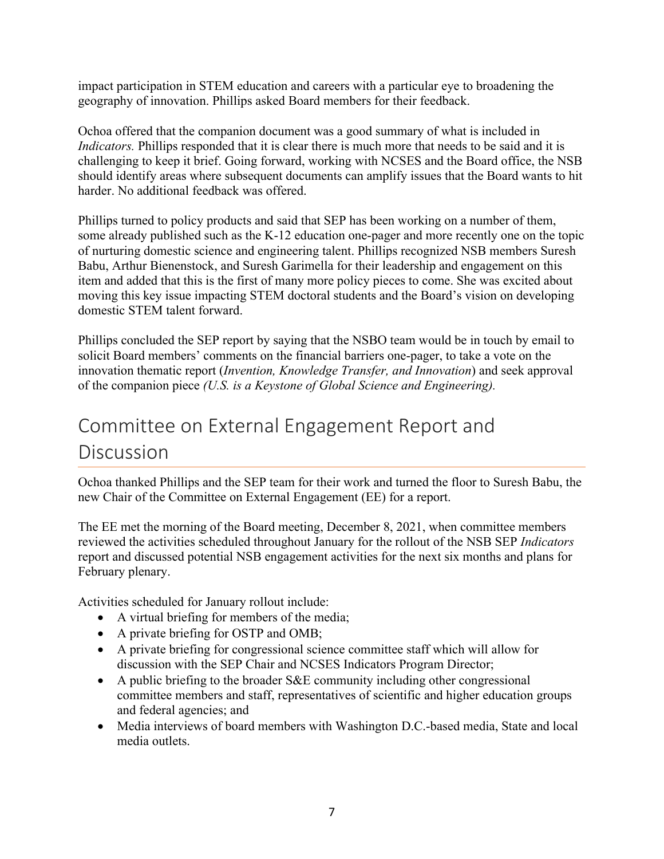impact participation in STEM education and careers with a particular eye to broadening the geography of innovation. Phillips asked Board members for their feedback.

Ochoa offered that the companion document was a good summary of what is included in *Indicators.* Phillips responded that it is clear there is much more that needs to be said and it is challenging to keep it brief. Going forward, working with NCSES and the Board office, the NSB should identify areas where subsequent documents can amplify issues that the Board wants to hit harder. No additional feedback was offered.

Phillips turned to policy products and said that SEP has been working on a number of them, some already published such as the K-12 education one-pager and more recently one on the topic of nurturing domestic science and engineering talent. Phillips recognized NSB members Suresh Babu, Arthur Bienenstock, and Suresh Garimella for their leadership and engagement on this item and added that this is the first of many more policy pieces to come. She was excited about moving this key issue impacting STEM doctoral students and the Board's vision on developing domestic STEM talent forward.

Phillips concluded the SEP report by saying that the NSBO team would be in touch by email to solicit Board members' comments on the financial barriers one-pager, to take a vote on the innovation thematic report (*Invention, Knowledge Transfer, and Innovation*) and seek approval of the companion piece *(U.S. is a Keystone of Global Science and Engineering).*

## Committee on External Engagement Report and Discussion

Ochoa thanked Phillips and the SEP team for their work and turned the floor to Suresh Babu, the new Chair of the Committee on External Engagement (EE) for a report.

The EE met the morning of the Board meeting, December 8, 2021, when committee members reviewed the activities scheduled throughout January for the rollout of the NSB SEP *Indicators* report and discussed potential NSB engagement activities for the next six months and plans for February plenary.

Activities scheduled for January rollout include:

- A virtual briefing for members of the media;
- A private briefing for OSTP and OMB;
- A private briefing for congressional science committee staff which will allow for discussion with the SEP Chair and NCSES Indicators Program Director;
- A public briefing to the broader S&E community including other congressional committee members and staff, representatives of scientific and higher education groups and federal agencies; and
- Media interviews of board members with Washington D.C.-based media, State and local media outlets.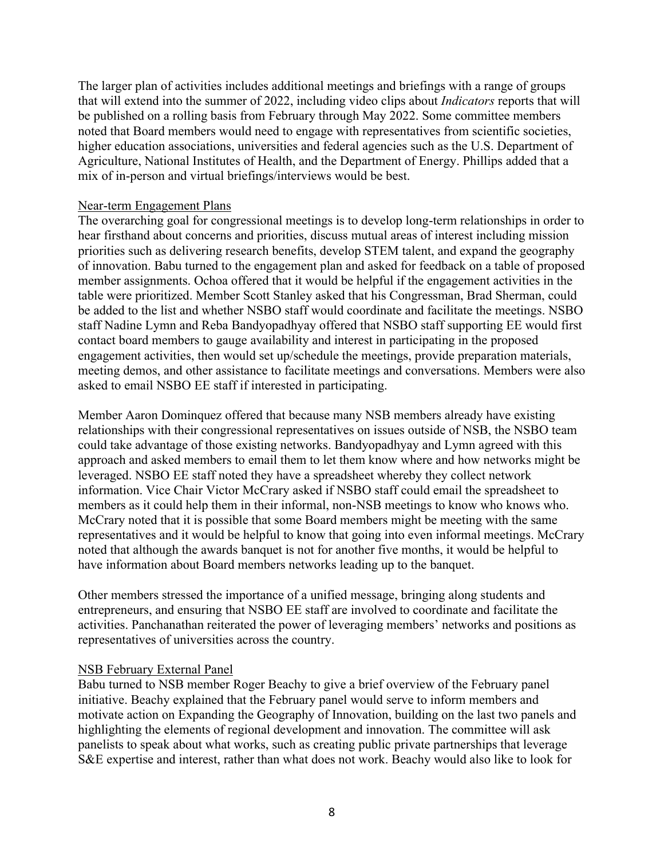The larger plan of activities includes additional meetings and briefings with a range of groups that will extend into the summer of 2022, including video clips about *Indicators* reports that will be published on a rolling basis from February through May 2022. Some committee members noted that Board members would need to engage with representatives from scientific societies, higher education associations, universities and federal agencies such as the U.S. Department of Agriculture, National Institutes of Health, and the Department of Energy. Phillips added that a mix of in-person and virtual briefings/interviews would be best.

#### Near-term Engagement Plans

The overarching goal for congressional meetings is to develop long-term relationships in order to hear firsthand about concerns and priorities, discuss mutual areas of interest including mission priorities such as delivering research benefits, develop STEM talent, and expand the geography of innovation. Babu turned to the engagement plan and asked for feedback on a table of proposed member assignments. Ochoa offered that it would be helpful if the engagement activities in the table were prioritized. Member Scott Stanley asked that his Congressman, Brad Sherman, could be added to the list and whether NSBO staff would coordinate and facilitate the meetings. NSBO staff Nadine Lymn and Reba Bandyopadhyay offered that NSBO staff supporting EE would first contact board members to gauge availability and interest in participating in the proposed engagement activities, then would set up/schedule the meetings, provide preparation materials, meeting demos, and other assistance to facilitate meetings and conversations. Members were also asked to email NSBO EE staff if interested in participating.

Member Aaron Dominquez offered that because many NSB members already have existing relationships with their congressional representatives on issues outside of NSB, the NSBO team could take advantage of those existing networks. Bandyopadhyay and Lymn agreed with this approach and asked members to email them to let them know where and how networks might be leveraged. NSBO EE staff noted they have a spreadsheet whereby they collect network information. Vice Chair Victor McCrary asked if NSBO staff could email the spreadsheet to members as it could help them in their informal, non-NSB meetings to know who knows who. McCrary noted that it is possible that some Board members might be meeting with the same representatives and it would be helpful to know that going into even informal meetings. McCrary noted that although the awards banquet is not for another five months, it would be helpful to have information about Board members networks leading up to the banquet.

Other members stressed the importance of a unified message, bringing along students and entrepreneurs, and ensuring that NSBO EE staff are involved to coordinate and facilitate the activities. Panchanathan reiterated the power of leveraging members' networks and positions as representatives of universities across the country.

#### NSB February External Panel

Babu turned to NSB member Roger Beachy to give a brief overview of the February panel initiative. Beachy explained that the February panel would serve to inform members and motivate action on Expanding the Geography of Innovation, building on the last two panels and highlighting the elements of regional development and innovation. The committee will ask panelists to speak about what works, such as creating public private partnerships that leverage S&E expertise and interest, rather than what does not work. Beachy would also like to look for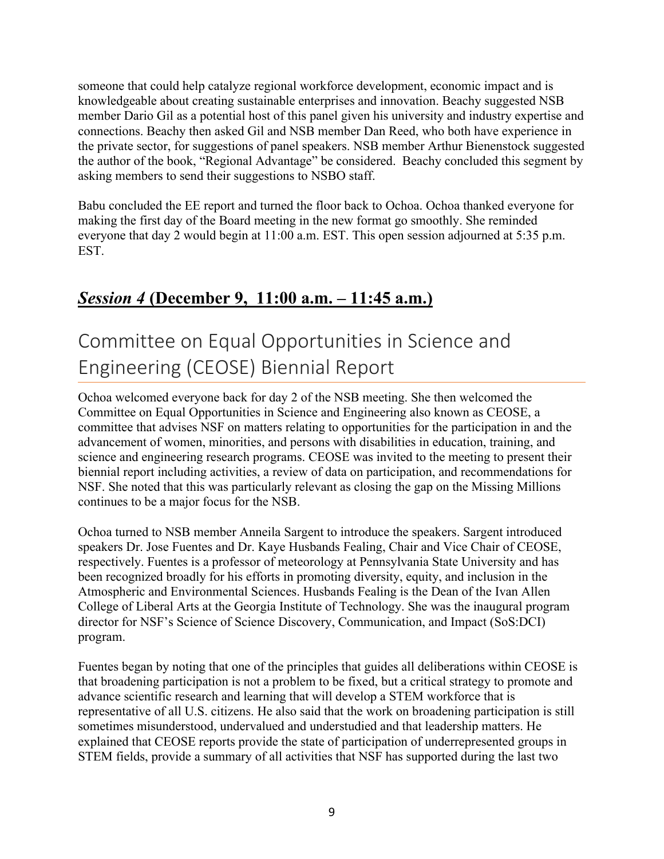someone that could help catalyze regional workforce development, economic impact and is knowledgeable about creating sustainable enterprises and innovation. Beachy suggested NSB member Dario Gil as a potential host of this panel given his university and industry expertise and connections. Beachy then asked Gil and NSB member Dan Reed, who both have experience in the private sector, for suggestions of panel speakers. NSB member Arthur Bienenstock suggested the author of the book, "Regional Advantage" be considered. Beachy concluded this segment by asking members to send their suggestions to NSBO staff.

Babu concluded the EE report and turned the floor back to Ochoa. Ochoa thanked everyone for making the first day of the Board meeting in the new format go smoothly. She reminded everyone that day 2 would begin at 11:00 a.m. EST. This open session adjourned at 5:35 p.m. EST.

### *Session 4* **(December 9, 11:00 a.m. – 11:45 a.m.)**

## Committee on Equal Opportunities in Science and Engineering (CEOSE) Biennial Report

Ochoa welcomed everyone back for day 2 of the NSB meeting. She then welcomed the Committee on Equal Opportunities in Science and Engineering also known as CEOSE, a committee that advises NSF on matters relating to opportunities for the participation in and the advancement of women, minorities, and persons with disabilities in education, training, and science and engineering research programs. CEOSE was invited to the meeting to present their biennial report including activities, a review of data on participation, and recommendations for NSF. She noted that this was particularly relevant as closing the gap on the Missing Millions continues to be a major focus for the NSB.

Ochoa turned to NSB member Anneila Sargent to introduce the speakers. Sargent introduced speakers Dr. Jose Fuentes and Dr. Kaye Husbands Fealing, Chair and Vice Chair of CEOSE, respectively. Fuentes is a professor of meteorology at Pennsylvania State University and has been recognized broadly for his efforts in promoting diversity, equity, and inclusion in the Atmospheric and Environmental Sciences. Husbands Fealing is the Dean of the Ivan Allen College of Liberal Arts at the Georgia Institute of Technology. She was the inaugural program director for NSF's Science of Science Discovery, Communication, and Impact (SoS:DCI) program.

Fuentes began by noting that one of the principles that guides all deliberations within CEOSE is that broadening participation is not a problem to be fixed, but a critical strategy to promote and advance scientific research and learning that will develop a STEM workforce that is representative of all U.S. citizens. He also said that the work on broadening participation is still sometimes misunderstood, undervalued and understudied and that leadership matters. He explained that CEOSE reports provide the state of participation of underrepresented groups in STEM fields, provide a summary of all activities that NSF has supported during the last two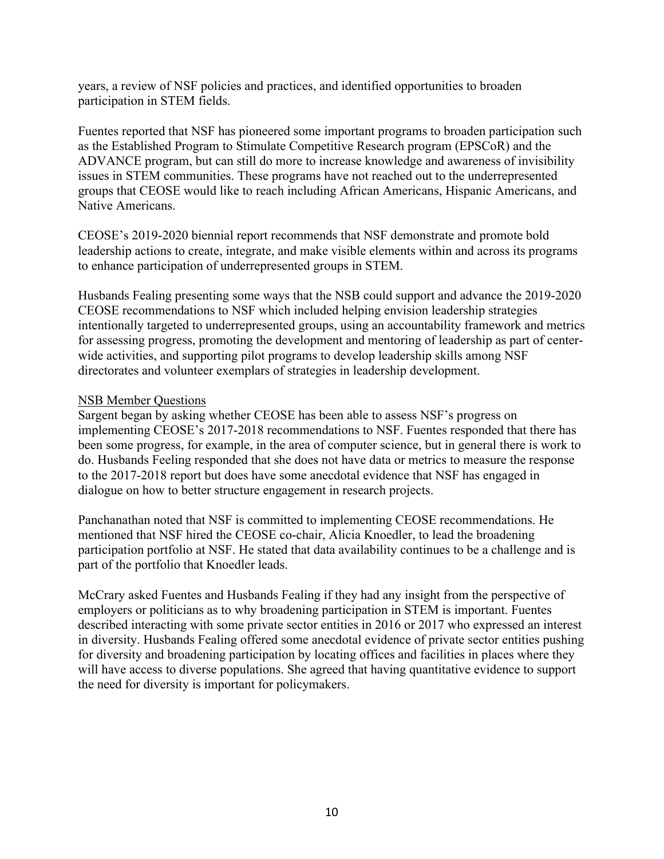years, a review of NSF policies and practices, and identified opportunities to broaden participation in STEM fields.

Fuentes reported that NSF has pioneered some important programs to broaden participation such as the Established Program to Stimulate Competitive Research program (EPSCoR) and the ADVANCE program, but can still do more to increase knowledge and awareness of invisibility issues in STEM communities. These programs have not reached out to the underrepresented groups that CEOSE would like to reach including African Americans, Hispanic Americans, and Native Americans.

CEOSE's 2019-2020 biennial report recommends that NSF demonstrate and promote bold leadership actions to create, integrate, and make visible elements within and across its programs to enhance participation of underrepresented groups in STEM.

Husbands Fealing presenting some ways that the NSB could support and advance the 2019-2020 CEOSE recommendations to NSF which included helping envision leadership strategies intentionally targeted to underrepresented groups, using an accountability framework and metrics for assessing progress, promoting the development and mentoring of leadership as part of centerwide activities, and supporting pilot programs to develop leadership skills among NSF directorates and volunteer exemplars of strategies in leadership development.

#### NSB Member Questions

Sargent began by asking whether CEOSE has been able to assess NSF's progress on implementing CEOSE's 2017-2018 recommendations to NSF. Fuentes responded that there has been some progress, for example, in the area of computer science, but in general there is work to do. Husbands Feeling responded that she does not have data or metrics to measure the response to the 2017-2018 report but does have some anecdotal evidence that NSF has engaged in dialogue on how to better structure engagement in research projects.

Panchanathan noted that NSF is committed to implementing CEOSE recommendations. He mentioned that NSF hired the CEOSE co-chair, Alicia Knoedler, to lead the broadening participation portfolio at NSF. He stated that data availability continues to be a challenge and is part of the portfolio that Knoedler leads.

McCrary asked Fuentes and Husbands Fealing if they had any insight from the perspective of employers or politicians as to why broadening participation in STEM is important. Fuentes described interacting with some private sector entities in 2016 or 2017 who expressed an interest in diversity. Husbands Fealing offered some anecdotal evidence of private sector entities pushing for diversity and broadening participation by locating offices and facilities in places where they will have access to diverse populations. She agreed that having quantitative evidence to support the need for diversity is important for policymakers.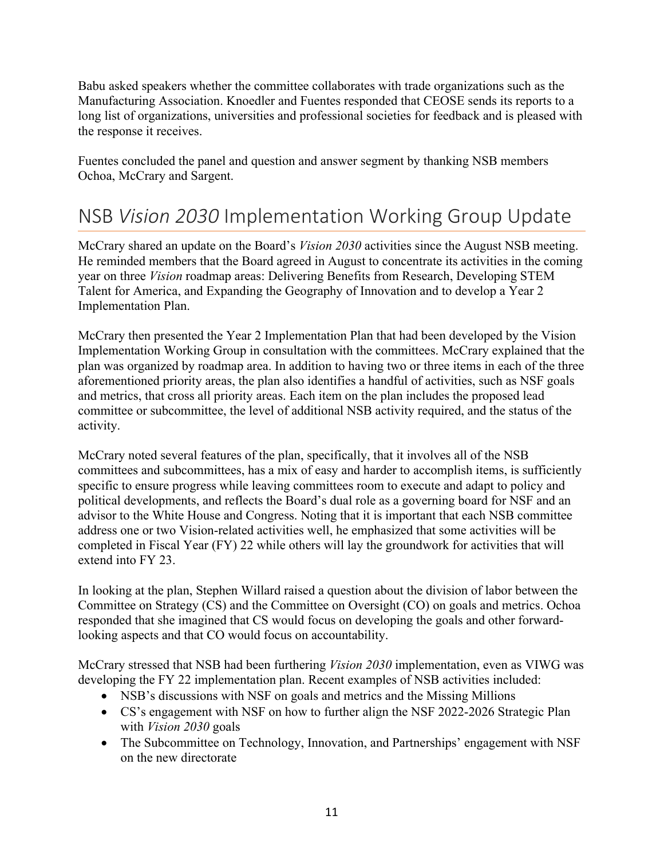Babu asked speakers whether the committee collaborates with trade organizations such as the Manufacturing Association. Knoedler and Fuentes responded that CEOSE sends its reports to a long list of organizations, universities and professional societies for feedback and is pleased with the response it receives.

Fuentes concluded the panel and question and answer segment by thanking NSB members Ochoa, McCrary and Sargent.

## NSB *Vision 2030* Implementation Working Group Update

McCrary shared an update on the Board's *Vision 2030* activities since the August NSB meeting. He reminded members that the Board agreed in August to concentrate its activities in the coming year on three *Vision* roadmap areas: Delivering Benefits from Research, Developing STEM Talent for America, and Expanding the Geography of Innovation and to develop a Year 2 Implementation Plan.

McCrary then presented the Year 2 Implementation Plan that had been developed by the Vision Implementation Working Group in consultation with the committees. McCrary explained that the plan was organized by roadmap area. In addition to having two or three items in each of the three aforementioned priority areas, the plan also identifies a handful of activities, such as NSF goals and metrics, that cross all priority areas. Each item on the plan includes the proposed lead committee or subcommittee, the level of additional NSB activity required, and the status of the activity.

McCrary noted several features of the plan, specifically, that it involves all of the NSB committees and subcommittees, has a mix of easy and harder to accomplish items, is sufficiently specific to ensure progress while leaving committees room to execute and adapt to policy and political developments, and reflects the Board's dual role as a governing board for NSF and an advisor to the White House and Congress. Noting that it is important that each NSB committee address one or two Vision-related activities well, he emphasized that some activities will be completed in Fiscal Year (FY) 22 while others will lay the groundwork for activities that will extend into FY 23.

In looking at the plan, Stephen Willard raised a question about the division of labor between the Committee on Strategy (CS) and the Committee on Oversight (CO) on goals and metrics. Ochoa responded that she imagined that CS would focus on developing the goals and other forwardlooking aspects and that CO would focus on accountability.

McCrary stressed that NSB had been furthering *Vision 2030* implementation, even as VIWG was developing the FY 22 implementation plan. Recent examples of NSB activities included:

- NSB's discussions with NSF on goals and metrics and the Missing Millions
- CS's engagement with NSF on how to further align the NSF 2022-2026 Strategic Plan with *Vision 2030* goals
- The Subcommittee on Technology, Innovation, and Partnerships' engagement with NSF on the new directorate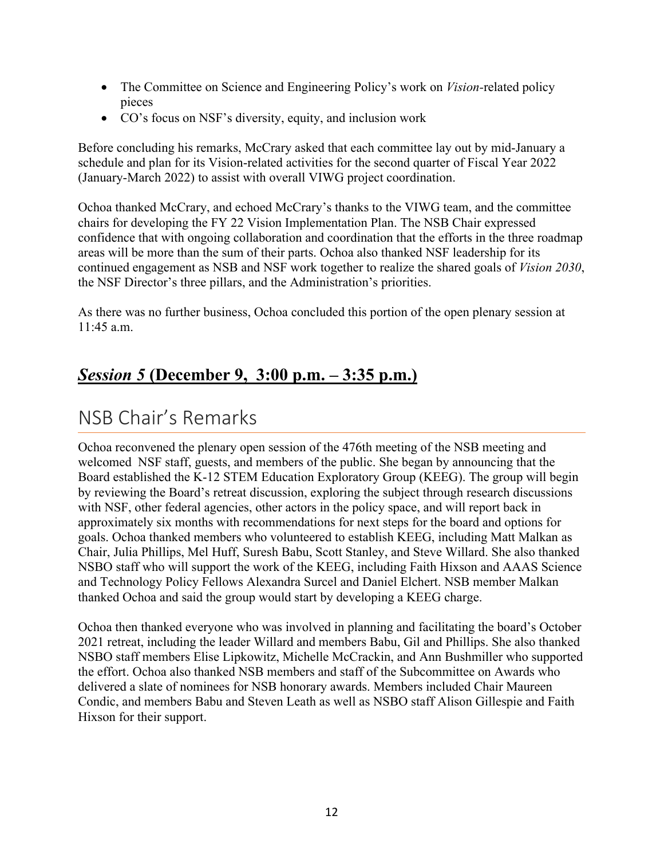- The Committee on Science and Engineering Policy's work on *Vision-*related policy pieces
- CO's focus on NSF's diversity, equity, and inclusion work

Before concluding his remarks, McCrary asked that each committee lay out by mid-January a schedule and plan for its Vision-related activities for the second quarter of Fiscal Year 2022 (January-March 2022) to assist with overall VIWG project coordination.

Ochoa thanked McCrary, and echoed McCrary's thanks to the VIWG team, and the committee chairs for developing the FY 22 Vision Implementation Plan. The NSB Chair expressed confidence that with ongoing collaboration and coordination that the efforts in the three roadmap areas will be more than the sum of their parts. Ochoa also thanked NSF leadership for its continued engagement as NSB and NSF work together to realize the shared goals of *Vision 2030*, the NSF Director's three pillars, and the Administration's priorities.

As there was no further business, Ochoa concluded this portion of the open plenary session at 11:45 a.m.

### *Session 5* **(December 9, 3:00 p.m. – 3:35 p.m.)**

## NSB Chair's Remarks

Ochoa reconvened the plenary open session of the 476th meeting of the NSB meeting and welcomed NSF staff, guests, and members of the public. She began by announcing that the Board established the K-12 STEM Education Exploratory Group (KEEG). The group will begin by reviewing the Board's retreat discussion, exploring the subject through research discussions with NSF, other federal agencies, other actors in the policy space, and will report back in approximately six months with recommendations for next steps for the board and options for goals. Ochoa thanked members who volunteered to establish KEEG, including Matt Malkan as Chair, Julia Phillips, Mel Huff, Suresh Babu, Scott Stanley, and Steve Willard. She also thanked NSBO staff who will support the work of the KEEG, including Faith Hixson and AAAS Science and Technology Policy Fellows Alexandra Surcel and Daniel Elchert. NSB member Malkan thanked Ochoa and said the group would start by developing a KEEG charge.

Ochoa then thanked everyone who was involved in planning and facilitating the board's October 2021 retreat, including the leader Willard and members Babu, Gil and Phillips. She also thanked NSBO staff members Elise Lipkowitz, Michelle McCrackin, and Ann Bushmiller who supported the effort. Ochoa also thanked NSB members and staff of the Subcommittee on Awards who delivered a slate of nominees for NSB honorary awards. Members included Chair Maureen Condic, and members Babu and Steven Leath as well as NSBO staff Alison Gillespie and Faith Hixson for their support.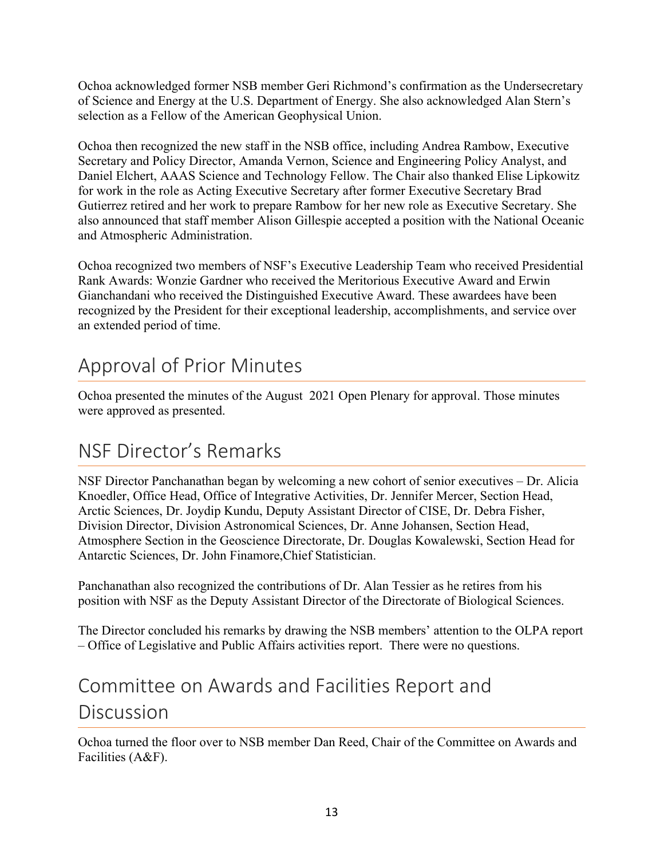Ochoa acknowledged former NSB member Geri Richmond's confirmation as the Undersecretary of Science and Energy at the U.S. Department of Energy. She also acknowledged Alan Stern's selection as a Fellow of the American Geophysical Union.

Ochoa then recognized the new staff in the NSB office, including Andrea Rambow, Executive Secretary and Policy Director, Amanda Vernon, Science and Engineering Policy Analyst, and Daniel Elchert, AAAS Science and Technology Fellow. The Chair also thanked Elise Lipkowitz for work in the role as Acting Executive Secretary after former Executive Secretary Brad Gutierrez retired and her work to prepare Rambow for her new role as Executive Secretary. She also announced that staff member Alison Gillespie accepted a position with the National Oceanic and Atmospheric Administration.

Ochoa recognized two members of NSF's Executive Leadership Team who received Presidential Rank Awards: Wonzie Gardner who received the Meritorious Executive Award and Erwin Gianchandani who received the Distinguished Executive Award. These awardees have been recognized by the President for their exceptional leadership, accomplishments, and service over an extended period of time.

## Approval of Prior Minutes

Ochoa presented the minutes of the August 2021 Open Plenary for approval. Those minutes were approved as presented.

## NSF Director's Remarks

NSF Director Panchanathan began by welcoming a new cohort of senior executives – Dr. Alicia Knoedler, Office Head, Office of Integrative Activities, Dr. Jennifer Mercer, Section Head, Arctic Sciences, Dr. Joydip Kundu, Deputy Assistant Director of CISE, Dr. Debra Fisher, Division Director, Division Astronomical Sciences, Dr. Anne Johansen, Section Head, Atmosphere Section in the Geoscience Directorate, Dr. Douglas Kowalewski, Section Head for Antarctic Sciences, Dr. John Finamore,Chief Statistician.

Panchanathan also recognized the contributions of Dr. Alan Tessier as he retires from his position with NSF as the Deputy Assistant Director of the Directorate of Biological Sciences.

The Director concluded his remarks by drawing the NSB members' attention to the OLPA report – Office of Legislative and Public Affairs activities report. There were no questions.

# Committee on Awards and Facilities Report and Discussion

Ochoa turned the floor over to NSB member Dan Reed, Chair of the Committee on Awards and Facilities (A&F).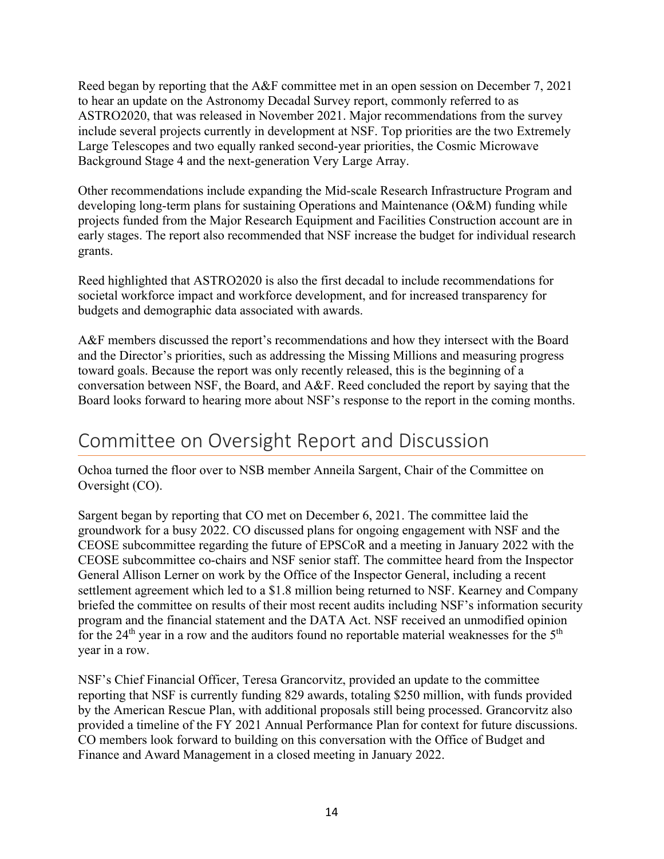Reed began by reporting that the A&F committee met in an open session on December 7, 2021 to hear an update on the Astronomy Decadal Survey report, commonly referred to as ASTRO2020, that was released in November 2021. Major recommendations from the survey include several projects currently in development at NSF. Top priorities are the two Extremely Large Telescopes and two equally ranked second-year priorities, the Cosmic Microwave Background Stage 4 and the next-generation Very Large Array.

Other recommendations include expanding the Mid-scale Research Infrastructure Program and developing long-term plans for sustaining Operations and Maintenance (O&M) funding while projects funded from the Major Research Equipment and Facilities Construction account are in early stages. The report also recommended that NSF increase the budget for individual research grants.

Reed highlighted that ASTRO2020 is also the first decadal to include recommendations for societal workforce impact and workforce development, and for increased transparency for budgets and demographic data associated with awards.

A&F members discussed the report's recommendations and how they intersect with the Board and the Director's priorities, such as addressing the Missing Millions and measuring progress toward goals. Because the report was only recently released, this is the beginning of a conversation between NSF, the Board, and A&F. Reed concluded the report by saying that the Board looks forward to hearing more about NSF's response to the report in the coming months.

## Committee on Oversight Report and Discussion

Ochoa turned the floor over to NSB member Anneila Sargent, Chair of the Committee on Oversight (CO).

Sargent began by reporting that CO met on December 6, 2021. The committee laid the groundwork for a busy 2022. CO discussed plans for ongoing engagement with NSF and the CEOSE subcommittee regarding the future of EPSCoR and a meeting in January 2022 with the CEOSE subcommittee co-chairs and NSF senior staff. The committee heard from the Inspector General Allison Lerner on work by the Office of the Inspector General, including a recent settlement agreement which led to a \$1.8 million being returned to NSF. Kearney and Company briefed the committee on results of their most recent audits including NSF's information security program and the financial statement and the DATA Act. NSF received an unmodified opinion for the  $24<sup>th</sup>$  year in a row and the auditors found no reportable material weaknesses for the  $5<sup>th</sup>$ year in a row.

NSF's Chief Financial Officer, Teresa Grancorvitz, provided an update to the committee reporting that NSF is currently funding 829 awards, totaling \$250 million, with funds provided by the American Rescue Plan, with additional proposals still being processed. Grancorvitz also provided a timeline of the FY 2021 Annual Performance Plan for context for future discussions. CO members look forward to building on this conversation with the Office of Budget and Finance and Award Management in a closed meeting in January 2022.